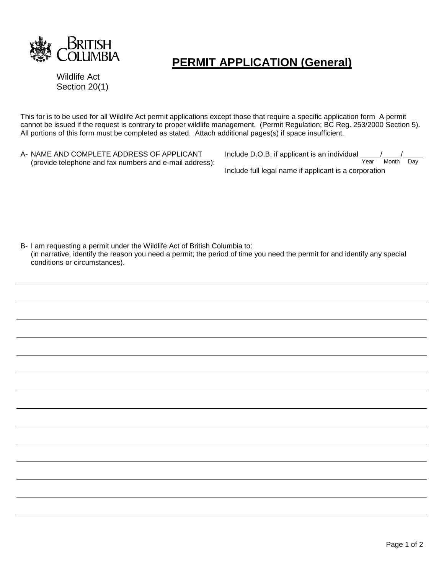

## **PERMIT APPLICATION (General)**

Wildlife Act Section 20(1)

This for is to be used for all Wildlife Act permit applications except those that require a specific application form A permit cannot be issued if the request is contrary to proper wildlife management. (Permit Regulation; BC Reg. 253/2000 Section 5). All portions of this form must be completed as stated. Attach additional pages(s) if space insufficient.

A- NAME AND COMPLETE ADDRESS OF APPLICANT (provide telephone and fax numbers and e-mail address): Include D.O.B. if applicant is an individual  $\frac{1}{\text{Year}}$ Month Day Include full legal name if applicant is a corporation

B- I am requesting a permit under the Wildlife Act of British Columbia to: (in narrative, identify the reason you need a permit; the period of time you need the permit for and identify any special conditions or circumstances).